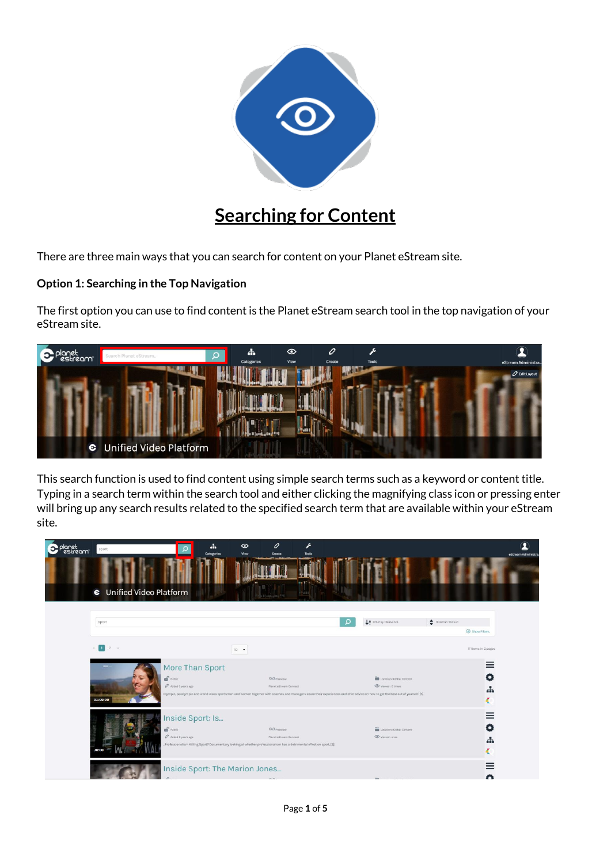

## **Searching for Content**

There are three main ways that you can search for content on your Planet eStream site.

## **Option 1: Searching in the Top Navigation**

The first option you can use to find content is the Planet eStream search tool in the top navigation of your eStream site.



This search function is used to find content using simple search terms such as a keyword or content title. Typing in a search term within the search tool and either clicking the magnifying class icon or pressing enter will bring up any search results related to the specified search term that are available within your eStream site.

| lanet<br>estream | sport<br><b>C</b> Unified Video Platform | a.<br>Categories                                                                                                                                                                                 | $\mathcal{O}$<br>$\odot$<br>Viow<br>Create    | r<br><b>Tools</b> |                                                                                                                                                                                                                                  | eStream Administra                          |
|------------------|------------------------------------------|--------------------------------------------------------------------------------------------------------------------------------------------------------------------------------------------------|-----------------------------------------------|-------------------|----------------------------------------------------------------------------------------------------------------------------------------------------------------------------------------------------------------------------------|---------------------------------------------|
|                  | sport                                    |                                                                                                                                                                                                  |                                               |                   | LA Order By : Refevance                                                                                                                                                                                                          | Direction: Default<br>$\Theta$ Show Filters |
|                  | $x = 1$ 2 x                              |                                                                                                                                                                                                  | $10 - 1$                                      |                   |                                                                                                                                                                                                                                  | 17 items in 2 pages                         |
|                  | 01:00:00                                 | More Than Sport<br>of Public<br>$O$ Added 3 years ago                                                                                                                                            | D.G Freeview<br>Planet eStream Connect        |                   | Location : Global Content<br>O Viewed O times<br>Olympic, paralympic and world-class sportsmen and women together with coaches and managers share their experiences and offer advice on how to get the best out of yourself. [S] | $\equiv$<br>Đ<br>녺<br>ĸ.                    |
|                  |                                          | Inside Sport: Is<br>$\mathbf{m}^{\prime}$ Public<br>O Added 3 years ago<br>"Professionalism Killing Sport? Documentary looking at whether professionalism has a detrimental effect on sport. [S] | <b>D.G</b> Freeview<br>Planet eStream Connect |                   | Location : Global Content<br>Viewed: once                                                                                                                                                                                        | $\equiv$<br>o<br>,                          |
|                  |                                          | Inside Sport: The Marion Jones                                                                                                                                                                   | no.                                           |                   |                                                                                                                                                                                                                                  | $=$<br>O                                    |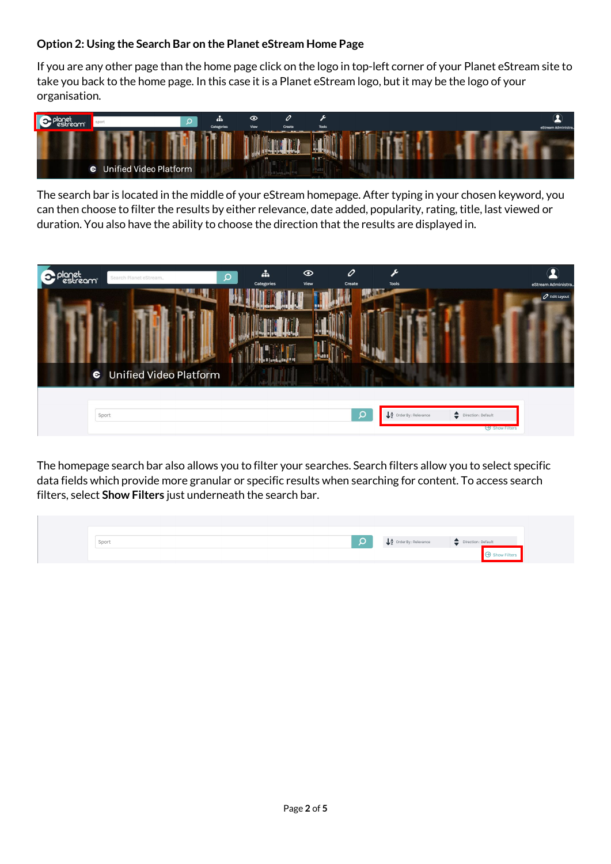## **Option 2: Using the Search Bar on the Planet eStream Home Page**

If you are any other page than the home page click on the logo in top-left corner of your Planet eStream site to take you back to the home page. In this case it is a Planet eStream logo, but it may be the logo of your organisation.



The search bar is located in the middle of your eStream homepage. After typing in your chosen keyword, you can then choose to filter the results by either relevance, date added, popularity, rating, title, last viewed or duration. You also have the ability to choose the direction that the results are displayed in.

| vlanet<br>estreami<br>Search Planet eStream | 4<br>Q<br>Categories | 0<br>F<br>$\odot$<br>View<br>Create<br>Tools | eStream Administra.                                                                                                             |
|---------------------------------------------|----------------------|----------------------------------------------|---------------------------------------------------------------------------------------------------------------------------------|
|                                             |                      |                                              | <b>O</b> Edit Layout                                                                                                            |
|                                             |                      |                                              |                                                                                                                                 |
| C Unified Video Platform                    |                      |                                              |                                                                                                                                 |
| Sport                                       |                      | $\Omega$                                     | L <sup>4</sup> Order By : Relevance<br>$\begin{tabular}{ll} \quad \bullet \quad \text{Direction}: \text{Default} \end{tabular}$ |
|                                             |                      |                                              |                                                                                                                                 |

The homepage search bar also allows you to filter your searches. Search filters allow you to select specific data fields which provide more granular or specific results when searching for content. To access search filters, select **Show Filters** just underneath the search bar.

| Sport | $\downarrow$ Order By : Relevance | Direction : Default |  |
|-------|-----------------------------------|---------------------|--|
|       |                                   |                     |  |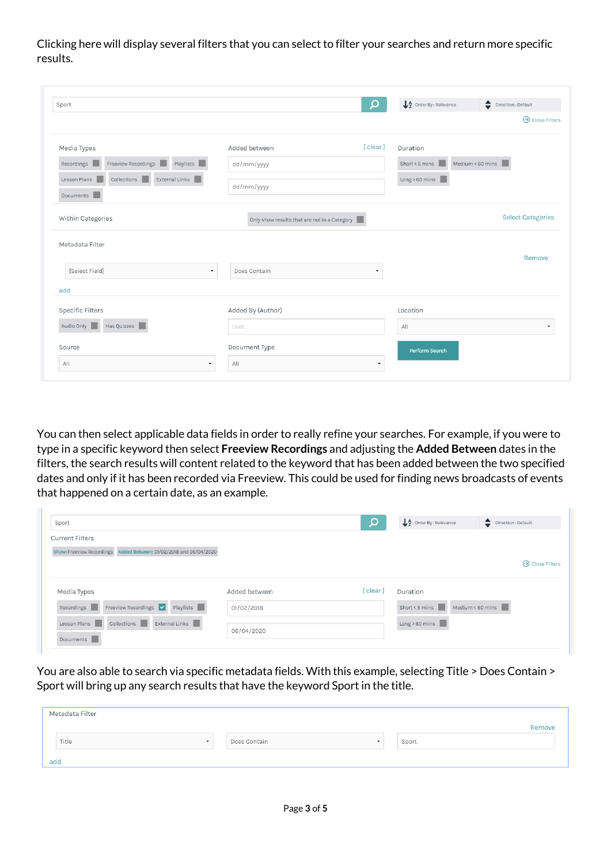Clicking here will display several filters that you can select to filter your searches and return more specific results.

| Sport                                                                     |                                              | Q                        | $\downarrow$ $\frac{A}{Z}$ Order By : Relevance | ♦<br>Direction : Default |
|---------------------------------------------------------------------------|----------------------------------------------|--------------------------|-------------------------------------------------|--------------------------|
|                                                                           |                                              |                          |                                                 | $\Theta$ Close Filters   |
| Media Types                                                               | Added between                                | [clear]                  | Duration                                        |                          |
| Freeview Recordings<br>Playlists<br>Recordings                            | dd/mm/yyyy                                   |                          | Short < 5 mins                                  | Medium < 60 mins         |
| Collections<br>External Links<br>Lesson Plans                             | dd/mm/yyyy                                   |                          | Long > 60 mins                                  |                          |
| Documents                                                                 |                                              |                          |                                                 |                          |
| Within Categories                                                         | Only show results that are not in a Category |                          |                                                 | <b>Select Categories</b> |
|                                                                           |                                              |                          |                                                 |                          |
|                                                                           |                                              |                          |                                                 |                          |
|                                                                           |                                              |                          |                                                 |                          |
| [Select Field]<br>$\overline{\phantom{a}}$                                | Does Contain                                 | $\overline{\phantom{a}}$ |                                                 |                          |
|                                                                           |                                              |                          |                                                 |                          |
|                                                                           | Added By (Author)                            |                          | Location                                        |                          |
| Has Quizzes                                                               | User                                         |                          | All                                             |                          |
| Metadata Filter<br>add<br><b>Specific Filters</b><br>Audio Only<br>Source | Document Type                                |                          | Perform Search                                  | Remove                   |

You can then select applicable data fields in order to really refine your searches. For example, if you were to type in a specific keyword then select **Freeview Recordings** and adjusting the **Added Between** dates in the filters, the search results will content related to the keyword that has been added between the two specified dates and only if it has been recorded via Freeview. This could be used for finding news broadcasts of events that happened on a certain date, as an example.

| Sport                                                              |               |         | $\downarrow$ $\frac{A}{2}$ Order By : Relevance | $\bullet$ Direction : Default |
|--------------------------------------------------------------------|---------------|---------|-------------------------------------------------|-------------------------------|
| <b>Current Filters</b>                                             |               |         |                                                 |                               |
| Show: Freeview Recordings Added Between: 01/02/2018 and 06/04/2020 |               |         |                                                 |                               |
|                                                                    |               |         |                                                 | $\Theta$ Close Filters        |
| Media Types                                                        | Added between | [clear] | Duration                                        |                               |
| Playlists<br>Freeview Recordings $\vert \cdot \vert$<br>Recordings | 01/02/2018    |         | Short < 5 mins<br>Medium < 60 mins $\ $         |                               |
| External Links<br>Collections<br>Lesson Plans<br>Documents         | 06/04/2020    |         | Long > 60 mins                                  |                               |

You are also able to search via specific metadata fields. With this example, selecting Title > Does Contain > Sport will bring up any search results that have the keyword Sport in the title.

|     | Metadata Filter  |                         |       |        |
|-----|------------------|-------------------------|-------|--------|
|     |                  |                         |       | Remove |
|     | Title<br>$\cdot$ | Does Contain<br>$\cdot$ | Sport |        |
| add |                  |                         |       |        |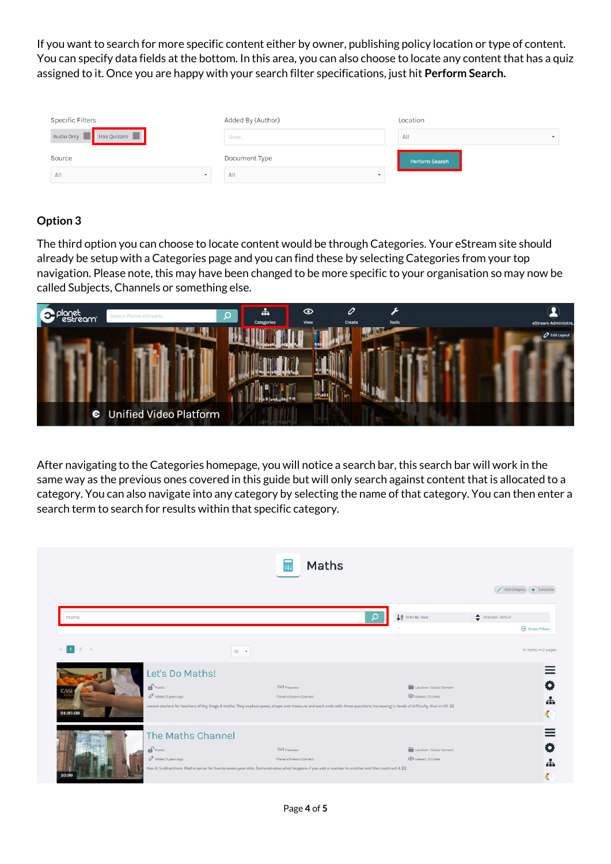If you want to search for more specific content either by owner, publishing policy location or type of content. You can specify data fields at the bottom. In this area, you can also choose to locate any content that has a quiz assigned to it. Once you are happy with your search filter specifications, just hit **Perform Search.**

| Specific Filters                       | Added By (Author)               | Location                        |
|----------------------------------------|---------------------------------|---------------------------------|
| Audio Only <b>No. 1989</b> Has Quizzes | User                            | A  <br>$\overline{\phantom{a}}$ |
| Source<br>A  <br>$\tilde{\phantom{a}}$ | Document Type<br>All<br>$\cdot$ | <b>Perform Search</b>           |
|                                        |                                 |                                 |

## **Option 3**

The third option you can choose to locate content would be through Categories. Your eStream site should already be setup with a Categories page and you can find these by selecting Categories from your top navigation. Please note, this may have been changed to be more specific to your organisation so may now be called Subjects, Channels or something else.



After navigating to the Categories homepage, you will notice a search bar, this search bar will work in the same way as the previous ones covered in this guide but will only search against content that is allocated to a category. You can also navigate into any category by selecting the name of that category. You can then enter a search term to search for results within that specific category.

|                      |                       | Maths<br>用                                                                                                                                                                      |                           |                             |
|----------------------|-----------------------|---------------------------------------------------------------------------------------------------------------------------------------------------------------------------------|---------------------------|-----------------------------|
|                      |                       |                                                                                                                                                                                 |                           | O Edit Category + Subscribe |
| maths                |                       | O                                                                                                                                                                               | A Order By : Date         | Direction : Default         |
|                      |                       |                                                                                                                                                                                 |                           | $\Theta$ Show Filters       |
| $2 \rightarrow$<br>п | $10 - 1$              |                                                                                                                                                                                 |                           | 14 items in 2 pages         |
|                      | Let's Do Maths!       |                                                                                                                                                                                 |                           |                             |
|                      | Public                | D/3 Freeview                                                                                                                                                                    | Location : Global Content |                             |
|                      | Added 3 years ago     | Planet eStream Connect                                                                                                                                                          | Viewed: 0 times           | ÷                           |
| 01:05:00             |                       | Lesson starters for teachers of Key Stage 2 maths. They explore space, shape and measure and each ends with three questions increasing in levels of difficulty. Also in HD. [S] |                           |                             |
|                      | The Maths Channel     |                                                                                                                                                                                 |                           |                             |
|                      | $\mathbf{r}$ Public   | D/3 Freeview                                                                                                                                                                    | Location : Global Content | $\bullet$                   |
|                      | $O$ Added 3 years ago | Planet eStream Connect                                                                                                                                                          | Viewed: 0 times           |                             |
|                      |                       | Year 2: Subtractions: Maths series for five-to seven-year-olds. Demonstrates what happens if you add a number to another and then subtract it. [S]                              |                           |                             |
| 10:00                |                       |                                                                                                                                                                                 |                           |                             |